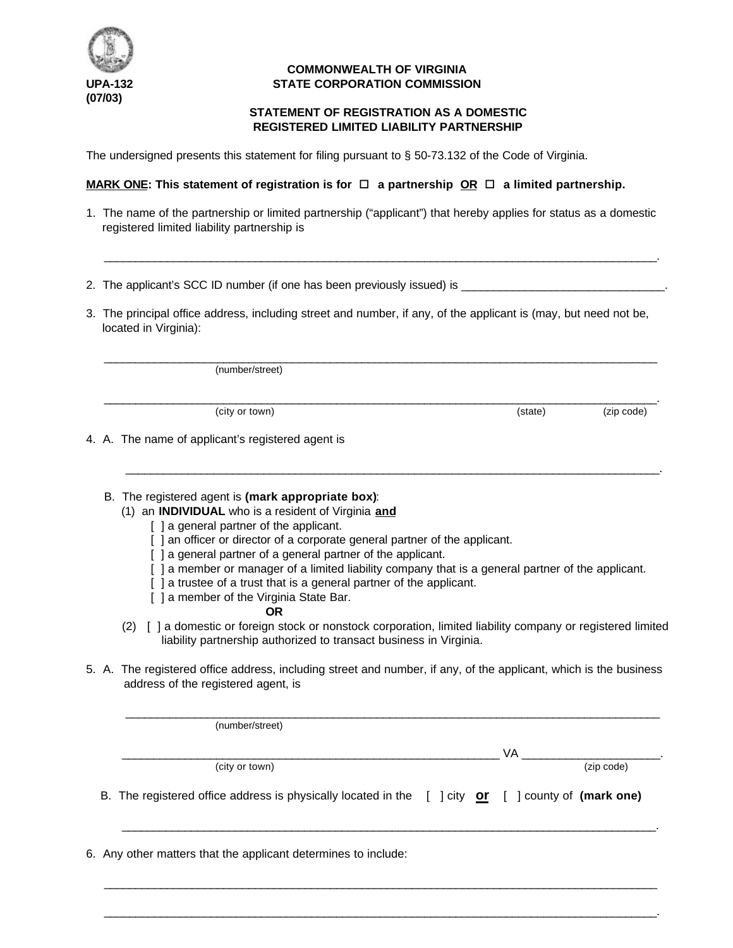

# **COMMONWEALTH OF VIRGINIA UPA-132 STATE CORPORATION COMMISSION**

# **STATEMENT OF REGISTRATION AS A DOMESTIC REGISTERED LIMITED LIABILITY PARTNERSHIP**

The undersigned presents this statement for filing pursuant to § 50-73.132 of the Code of Virginia.

## **MARK ONE:** This statement of registration is for  $\Box$  a partnership OR  $\Box$  a limited partnership.

1. The name of the partnership or limited partnership ("applicant") that hereby applies for status as a domestic registered limited liability partnership is

 $\frac{1}{2}$  ,  $\frac{1}{2}$  ,  $\frac{1}{2}$  ,  $\frac{1}{2}$  ,  $\frac{1}{2}$  ,  $\frac{1}{2}$  ,  $\frac{1}{2}$  ,  $\frac{1}{2}$  ,  $\frac{1}{2}$  ,  $\frac{1}{2}$  ,  $\frac{1}{2}$  ,  $\frac{1}{2}$  ,  $\frac{1}{2}$  ,  $\frac{1}{2}$  ,  $\frac{1}{2}$  ,  $\frac{1}{2}$  ,  $\frac{1}{2}$  ,  $\frac{1}{2}$  ,  $\frac{1$ 

- 2. The applicant's SCC ID number (if one has been previously issued) is
- 3. The principal office address, including street and number, if any, of the applicant is (may, but need not be, located in Virginia):

 $\frac{1}{2}$  ,  $\frac{1}{2}$  ,  $\frac{1}{2}$  ,  $\frac{1}{2}$  ,  $\frac{1}{2}$  ,  $\frac{1}{2}$  ,  $\frac{1}{2}$  ,  $\frac{1}{2}$  ,  $\frac{1}{2}$  ,  $\frac{1}{2}$  ,  $\frac{1}{2}$  ,  $\frac{1}{2}$  ,  $\frac{1}{2}$  ,  $\frac{1}{2}$  ,  $\frac{1}{2}$  ,  $\frac{1}{2}$  ,  $\frac{1}{2}$  ,  $\frac{1}{2}$  ,  $\frac{1$ 

 $\frac{1}{2}$  ,  $\frac{1}{2}$  ,  $\frac{1}{2}$  ,  $\frac{1}{2}$  ,  $\frac{1}{2}$  ,  $\frac{1}{2}$  ,  $\frac{1}{2}$  ,  $\frac{1}{2}$  ,  $\frac{1}{2}$  ,  $\frac{1}{2}$  ,  $\frac{1}{2}$  ,  $\frac{1}{2}$  ,  $\frac{1}{2}$  ,  $\frac{1}{2}$  ,  $\frac{1}{2}$  ,  $\frac{1}{2}$  ,  $\frac{1}{2}$  ,  $\frac{1}{2}$  ,  $\frac{1$ 

 $\mathcal{L} = \{ \mathcal{L} = \{ \mathcal{L} = \{ \mathcal{L} = \mathcal{L} \} \mid \mathcal{L} = \{ \mathcal{L} = \{ \mathcal{L} = \mathcal{L} \} \mid \mathcal{L} = \{ \mathcal{L} = \{ \mathcal{L} = \mathcal{L} = \mathcal{L} \} \mid \mathcal{L} = \{ \mathcal{L} = \{ \mathcal{L} = \mathcal{L} = \mathcal{L} = \mathcal{L} \} \mid \mathcal{L} = \{ \mathcal{L} = \{ \mathcal{L} = \{ \mathcal{L} = \mathcal{L} = \mathcal{L} = \math$ 

(number/street)

(city or town) (city or town) (city or town)

4. A. The name of applicant's registered agent is

## B. The registered agent is **(mark appropriate box)**:

- (1) an **INDIVIDUAL** who is a resident of Virginia **and**
	- [ ] a general partner of the applicant.
	- [ ] an officer or director of a corporate general partner of the applicant.
	- [ ] a general partner of a general partner of the applicant.
	- [ ] a member or manager of a limited liability company that is a general partner of the applicant.
	- [ ] a trustee of a trust that is a general partner of the applicant.
	- [ ] a member of the Virginia State Bar.

#### **OR**

- (2) [ ] a domestic or foreign stock or nonstock corporation, limited liability company or registered limited liability partnership authorized to transact business in Virginia.
- 5. A. The registered office address, including street and number, if any, of the applicant, which is the business address of the registered agent, is

| (number/street)                                                                                    |    |            |
|----------------------------------------------------------------------------------------------------|----|------------|
|                                                                                                    | VA |            |
| (city or town)                                                                                     |    | (zip code) |
| B. The registered office address is physically located in the [ ] city or [ ] county of (mark one) |    |            |
|                                                                                                    |    |            |

 $\frac{1}{2}$  ,  $\frac{1}{2}$  ,  $\frac{1}{2}$  ,  $\frac{1}{2}$  ,  $\frac{1}{2}$  ,  $\frac{1}{2}$  ,  $\frac{1}{2}$  ,  $\frac{1}{2}$  ,  $\frac{1}{2}$  ,  $\frac{1}{2}$  ,  $\frac{1}{2}$  ,  $\frac{1}{2}$  ,  $\frac{1}{2}$  ,  $\frac{1}{2}$  ,  $\frac{1}{2}$  ,  $\frac{1}{2}$  ,  $\frac{1}{2}$  ,  $\frac{1}{2}$  ,  $\frac{1$ 

 $\frac{1}{2}$  ,  $\frac{1}{2}$  ,  $\frac{1}{2}$  ,  $\frac{1}{2}$  ,  $\frac{1}{2}$  ,  $\frac{1}{2}$  ,  $\frac{1}{2}$  ,  $\frac{1}{2}$  ,  $\frac{1}{2}$  ,  $\frac{1}{2}$  ,  $\frac{1}{2}$  ,  $\frac{1}{2}$  ,  $\frac{1}{2}$  ,  $\frac{1}{2}$  ,  $\frac{1}{2}$  ,  $\frac{1}{2}$  ,  $\frac{1}{2}$  ,  $\frac{1}{2}$  ,  $\frac{1$ 

6. Any other matters that the applicant determines to include: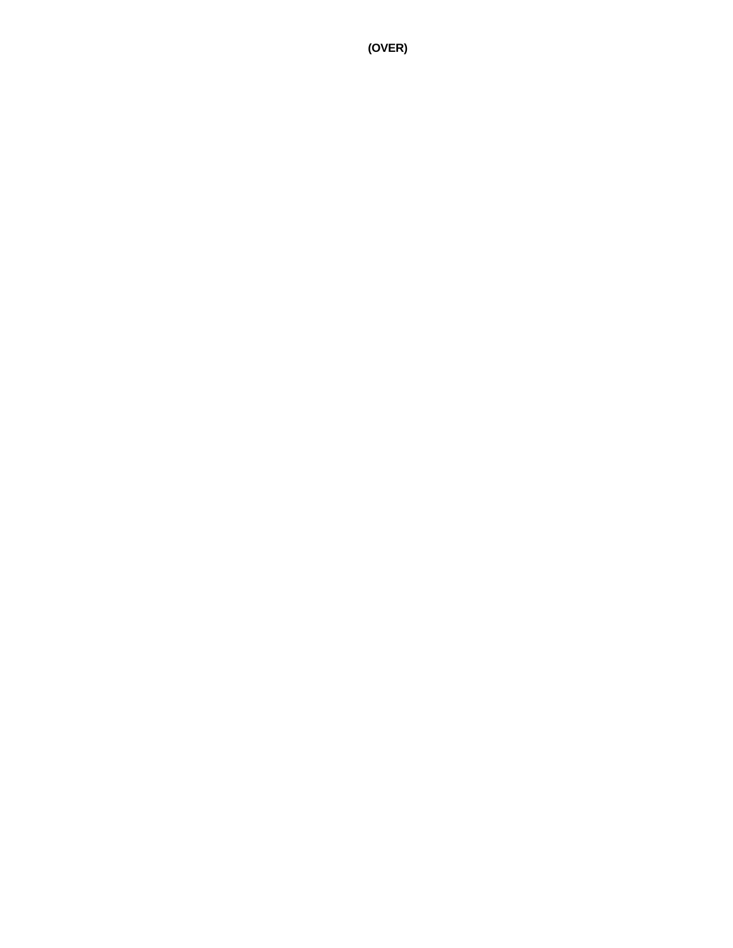**(OVER)**